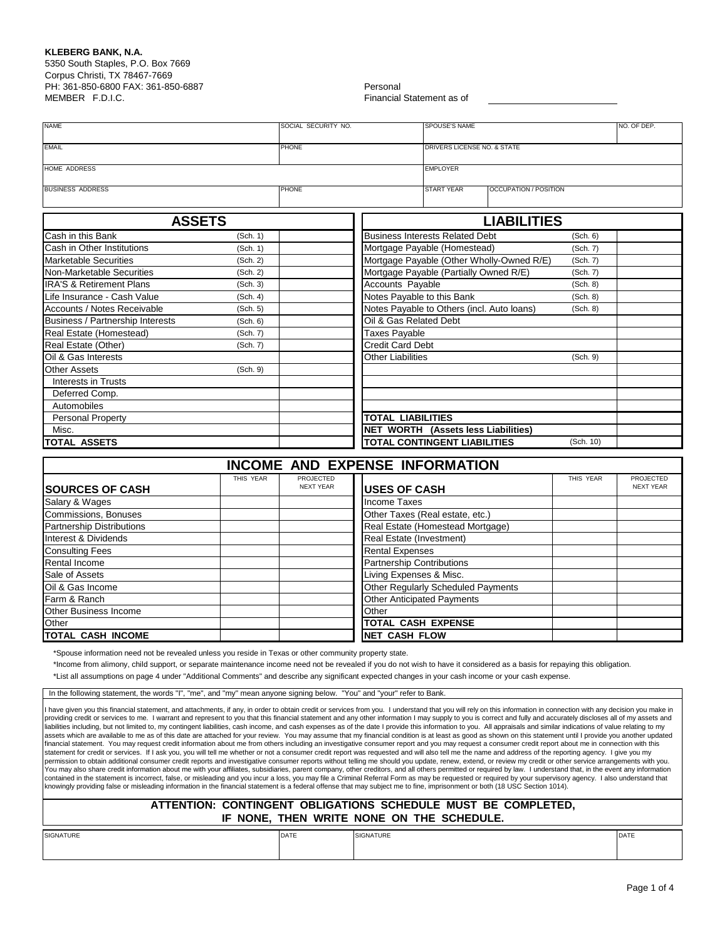## **KLEBERG BANK, N.A.**

5350 South Staples, P.O. Box 7669 Corpus Christi, TX 78467-7669 PH: 361-850-6800 FAX: 361-850-6887 Personal MEMBER F.D.I.C. **Financial Statement as of** Financial Statement as of

| <b>NAME</b>             | SOCIAL SECURITY NO. | <b>SPOUSE'S NAME</b><br>NO. OF DEP. |                              |  |  |
|-------------------------|---------------------|-------------------------------------|------------------------------|--|--|
| <b>EMAIL</b>            | <b>PHONE</b>        | DRIVERS LICENSE NO. & STATE         |                              |  |  |
| HOME ADDRESS            |                     | <b>EMPLOYER</b>                     |                              |  |  |
| <b>BUSINESS ADDRESS</b> | <b>PHONE</b>        | <b>START YEAR</b>                   | <b>OCCUPATION / POSITION</b> |  |  |

| <b>ASSETS</b>                       |                                                    | <b>LIABILITIES</b>                         |           |  |  |  |  |
|-------------------------------------|----------------------------------------------------|--------------------------------------------|-----------|--|--|--|--|
| Cash in this Bank                   | <b>Business Interests Related Debt</b><br>(Sch. 1) |                                            |           |  |  |  |  |
| Cash in Other Institutions          | (Sch. 1)                                           | Mortgage Payable (Homestead)               | (Sch. 7)  |  |  |  |  |
| <b>Marketable Securities</b>        | (Sch. 2)                                           | Mortgage Payable (Other Wholly-Owned R/E)  | (Sch. 7)  |  |  |  |  |
| Non-Marketable Securities           | (Sch. 2)                                           | Mortgage Payable (Partially Owned R/E)     | (Sch. 7)  |  |  |  |  |
| <b>IRA'S &amp; Retirement Plans</b> | (Sch. 3)                                           | Accounts Payable                           | (Sch. 8)  |  |  |  |  |
| Life Insurance - Cash Value         | (Sch. 4)                                           | Notes Payable to this Bank                 | (Sch. 8)  |  |  |  |  |
| Accounts / Notes Receivable         | (Sch. 5)                                           | Notes Payable to Others (incl. Auto loans) | (Sch. 8)  |  |  |  |  |
| Business / Partnership Interests    | (Sch. 6)                                           | Oil & Gas Related Debt                     |           |  |  |  |  |
| Real Estate (Homestead)             | (Sch. 7)                                           | <b>Taxes Payable</b>                       |           |  |  |  |  |
| Real Estate (Other)                 | (Sch. 7)                                           | <b>Credit Card Debt</b>                    |           |  |  |  |  |
| Oil & Gas Interests                 |                                                    | <b>Other Liabilities</b>                   | (Sch. 9)  |  |  |  |  |
| <b>Other Assets</b>                 | (Sch. 9)                                           |                                            |           |  |  |  |  |
| Interests in Trusts                 |                                                    |                                            |           |  |  |  |  |
| Deferred Comp.                      |                                                    |                                            |           |  |  |  |  |
| Automobiles                         |                                                    |                                            |           |  |  |  |  |
| <b>Personal Property</b>            |                                                    | TOTAL LIABILITIES                          |           |  |  |  |  |
| Misc.                               |                                                    | <b>NET WORTH (Assets less Liabilities)</b> |           |  |  |  |  |
| <b>TOTAL ASSETS</b>                 |                                                    | TOTAL CONTINGENT LIABILITIES               | (Sch. 10) |  |  |  |  |

**INCOME AND EXPENSE INFORMATION**

|                                  | THIS YEAR | PROJECTED        |                                    | THIS YEAR | PROJECTED        |
|----------------------------------|-----------|------------------|------------------------------------|-----------|------------------|
| <b>SOURCES OF CASH</b>           |           | <b>NEXT YEAR</b> | <b>USES OF CASH</b>                |           | <b>NEXT YEAR</b> |
| Salary & Wages                   |           |                  | Income Taxes                       |           |                  |
| Commissions, Bonuses             |           |                  | Other Taxes (Real estate, etc.)    |           |                  |
| <b>Partnership Distributions</b> |           |                  | Real Estate (Homestead Mortgage)   |           |                  |
| Interest & Dividends             |           |                  | Real Estate (Investment)           |           |                  |
| <b>Consulting Fees</b>           |           |                  | <b>Rental Expenses</b>             |           |                  |
| <b>Rental Income</b>             |           |                  | <b>Partnership Contributions</b>   |           |                  |
| Sale of Assets                   |           |                  | Living Expenses & Misc.            |           |                  |
| Oil & Gas Income                 |           |                  | Other Regularly Scheduled Payments |           |                  |
| Farm & Ranch                     |           |                  | <b>Other Anticipated Payments</b>  |           |                  |
| <b>Other Business Income</b>     |           |                  | Other                              |           |                  |
| Other                            |           |                  | TOTAL CASH EXPENSE                 |           |                  |
| <b>TOTAL CASH INCOME</b>         |           |                  | <b>NET CASH FLOW</b>               |           |                  |

\*Spouse information need not be revealed unless you reside in Texas or other community property state.

\*Income from alimony, child support, or separate maintenance income need not be revealed if you do not wish to have it considered as a basis for repaying this obligation.

\*List all assumptions on page 4 under "Additional Comments" and describe any significant expected changes in your cash income or your cash expense.

In the following statement, the words "I", "me", and "my" mean anyone signing below. "You" and "your" refer to Bank

have given you this financial statement, and attachments, if any, in order to obtain credit or services from you. I understand that you will rely on this information in connection with any decision you make in providing credit or services to me. I warrant and represent to you that this financial statement and any other information I may supply to you is correct and fully and accurately discloses all of my assets and liabilities including, but not limited to, my contingent liabilities, cash income, and cash expenses as of the date I provide this information to you. All appraisals and similar indications of value relating to my assets which are available to me as of this date are attached for your review. You may assume that my financial condition is at least as good as shown on this statement until I provide you another updated financial statement. You may request credit information about me from others including an investigative consumer report and you may request a consumer credit report about me in connection with this statement for credit or services. If I ask you, you will tell me whether or not a consumer credit report was requested and will also tell me the name and address of the reporting agency. I give you my permission to obtain additional consumer credit reports and investigative consumer reports without telling me should you update, renew, extend, or review my credit or other service arrangements with you.<br>You may also share contained in the statement is incorrect, false, or misleading and you incur a loss, you may file a Criminal Referral Form as may be requested or required by your supervisory agency. I also understand that knowingly providing false or misleading information in the financial statement is a federal offense that may subject me to fine, imprisonment or both (18 USC Section 1014).

## **ATTENTION: CONTINGENT OBLIGATIONS SCHEDULE MUST BE COMPLETED, IF NONE, THEN WRITE NONE ON THE SCHEDULE.**

| <b>SIGN</b><br>. | $- -$ | SIGNATURE | <b>DATE</b> |
|------------------|-------|-----------|-------------|
|                  |       |           |             |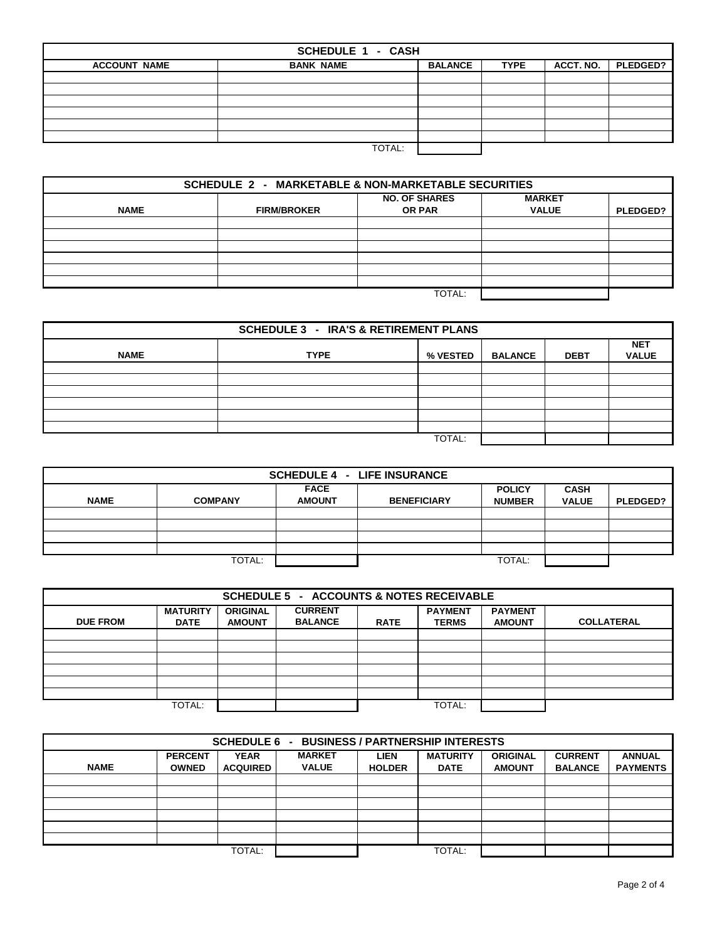| <b>SCHEDULE 1 - CASH</b> |                                                                                   |  |  |  |  |  |  |  |  |
|--------------------------|-----------------------------------------------------------------------------------|--|--|--|--|--|--|--|--|
| <b>ACCOUNT NAME</b>      | ACCT. NO.<br><b>PLEDGED?</b><br><b>BALANCE</b><br><b>BANK NAME</b><br><b>TYPE</b> |  |  |  |  |  |  |  |  |
|                          |                                                                                   |  |  |  |  |  |  |  |  |
|                          |                                                                                   |  |  |  |  |  |  |  |  |
|                          |                                                                                   |  |  |  |  |  |  |  |  |
|                          |                                                                                   |  |  |  |  |  |  |  |  |
|                          |                                                                                   |  |  |  |  |  |  |  |  |
|                          |                                                                                   |  |  |  |  |  |  |  |  |
|                          | TOTAL:                                                                            |  |  |  |  |  |  |  |  |

| <b>SCHEDULE 2 - MARKETABLE &amp; NON-MARKETABLE SECURITIES</b>                                              |        |  |  |                 |  |  |  |  |  |
|-------------------------------------------------------------------------------------------------------------|--------|--|--|-----------------|--|--|--|--|--|
| <b>MARKET</b><br><b>NO. OF SHARES</b><br><b>FIRM/BROKER</b><br><b>OR PAR</b><br><b>VALUE</b><br><b>NAME</b> |        |  |  |                 |  |  |  |  |  |
|                                                                                                             |        |  |  | <b>PLEDGED?</b> |  |  |  |  |  |
|                                                                                                             |        |  |  |                 |  |  |  |  |  |
|                                                                                                             |        |  |  |                 |  |  |  |  |  |
|                                                                                                             |        |  |  |                 |  |  |  |  |  |
|                                                                                                             |        |  |  |                 |  |  |  |  |  |
|                                                                                                             |        |  |  |                 |  |  |  |  |  |
|                                                                                                             | TOTAL: |  |  |                 |  |  |  |  |  |

| <b>SCHEDULE 3 - IRA'S &amp; RETIREMENT PLANS</b> |                                                                                        |        |  |  |  |  |  |  |  |
|--------------------------------------------------|----------------------------------------------------------------------------------------|--------|--|--|--|--|--|--|--|
| <b>NAME</b>                                      | <b>NET</b><br><b>TYPE</b><br><b>VALUE</b><br>% VESTED<br><b>BALANCE</b><br><b>DEBT</b> |        |  |  |  |  |  |  |  |
|                                                  |                                                                                        |        |  |  |  |  |  |  |  |
|                                                  |                                                                                        |        |  |  |  |  |  |  |  |
|                                                  |                                                                                        |        |  |  |  |  |  |  |  |
|                                                  |                                                                                        |        |  |  |  |  |  |  |  |
|                                                  |                                                                                        |        |  |  |  |  |  |  |  |
|                                                  |                                                                                        |        |  |  |  |  |  |  |  |
|                                                  |                                                                                        | TOTAL: |  |  |  |  |  |  |  |

| <b>SCHEDULE 4 - LIFE INSURANCE</b>                                                                                                                                      |                  |  |  |  |  |  |  |  |  |
|-------------------------------------------------------------------------------------------------------------------------------------------------------------------------|------------------|--|--|--|--|--|--|--|--|
| <b>FACE</b><br><b>CASH</b><br><b>POLICY</b><br><b>NAME</b><br><b>AMOUNT</b><br><b>COMPANY</b><br><b>BENEFICIARY</b><br><b>VALUE</b><br><b>NUMBER</b><br><b>PLEDGED?</b> |                  |  |  |  |  |  |  |  |  |
|                                                                                                                                                                         |                  |  |  |  |  |  |  |  |  |
|                                                                                                                                                                         |                  |  |  |  |  |  |  |  |  |
|                                                                                                                                                                         |                  |  |  |  |  |  |  |  |  |
|                                                                                                                                                                         |                  |  |  |  |  |  |  |  |  |
|                                                                                                                                                                         | TOTAL:<br>TOTAL: |  |  |  |  |  |  |  |  |

| <b>SCHEDULE 5 - ACCOUNTS &amp; NOTES RECEIVABLE</b>                                                                                                                                                                                |        |  |  |  |        |  |  |  |  |
|------------------------------------------------------------------------------------------------------------------------------------------------------------------------------------------------------------------------------------|--------|--|--|--|--------|--|--|--|--|
| <b>CURRENT</b><br><b>MATURITY</b><br><b>PAYMENT</b><br><b>PAYMENT</b><br><b>ORIGINAL</b><br><b>BALANCE</b><br><b>DUE FROM</b><br><b>COLLATERAL</b><br><b>AMOUNT</b><br><b>TERMS</b><br><b>AMOUNT</b><br><b>DATE</b><br><b>RATE</b> |        |  |  |  |        |  |  |  |  |
|                                                                                                                                                                                                                                    |        |  |  |  |        |  |  |  |  |
|                                                                                                                                                                                                                                    |        |  |  |  |        |  |  |  |  |
|                                                                                                                                                                                                                                    |        |  |  |  |        |  |  |  |  |
|                                                                                                                                                                                                                                    |        |  |  |  |        |  |  |  |  |
|                                                                                                                                                                                                                                    |        |  |  |  |        |  |  |  |  |
|                                                                                                                                                                                                                                    |        |  |  |  |        |  |  |  |  |
|                                                                                                                                                                                                                                    | TOTAL: |  |  |  | TOTAL: |  |  |  |  |

| <b>BUSINESS / PARTNERSHIP INTERESTS</b><br><b>SCHEDULE 6 -</b> |                                                                                                                                                                                                                                                                                 |        |  |  |        |  |  |  |  |
|----------------------------------------------------------------|---------------------------------------------------------------------------------------------------------------------------------------------------------------------------------------------------------------------------------------------------------------------------------|--------|--|--|--------|--|--|--|--|
| <b>NAME</b>                                                    | <b>MARKET</b><br><b>MATURITY</b><br><b>PERCENT</b><br><b>YEAR</b><br><b>CURRENT</b><br><b>ANNUAL</b><br><b>LIEN</b><br><b>ORIGINAL</b><br><b>VALUE</b><br><b>PAYMENTS</b><br><b>ACQUIRED</b><br><b>OWNED</b><br><b>HOLDER</b><br><b>DATE</b><br><b>AMOUNT</b><br><b>BALANCE</b> |        |  |  |        |  |  |  |  |
|                                                                |                                                                                                                                                                                                                                                                                 |        |  |  |        |  |  |  |  |
|                                                                |                                                                                                                                                                                                                                                                                 |        |  |  |        |  |  |  |  |
|                                                                |                                                                                                                                                                                                                                                                                 |        |  |  |        |  |  |  |  |
|                                                                |                                                                                                                                                                                                                                                                                 |        |  |  |        |  |  |  |  |
|                                                                |                                                                                                                                                                                                                                                                                 |        |  |  |        |  |  |  |  |
|                                                                |                                                                                                                                                                                                                                                                                 |        |  |  |        |  |  |  |  |
|                                                                |                                                                                                                                                                                                                                                                                 | TOTAL: |  |  | TOTAL: |  |  |  |  |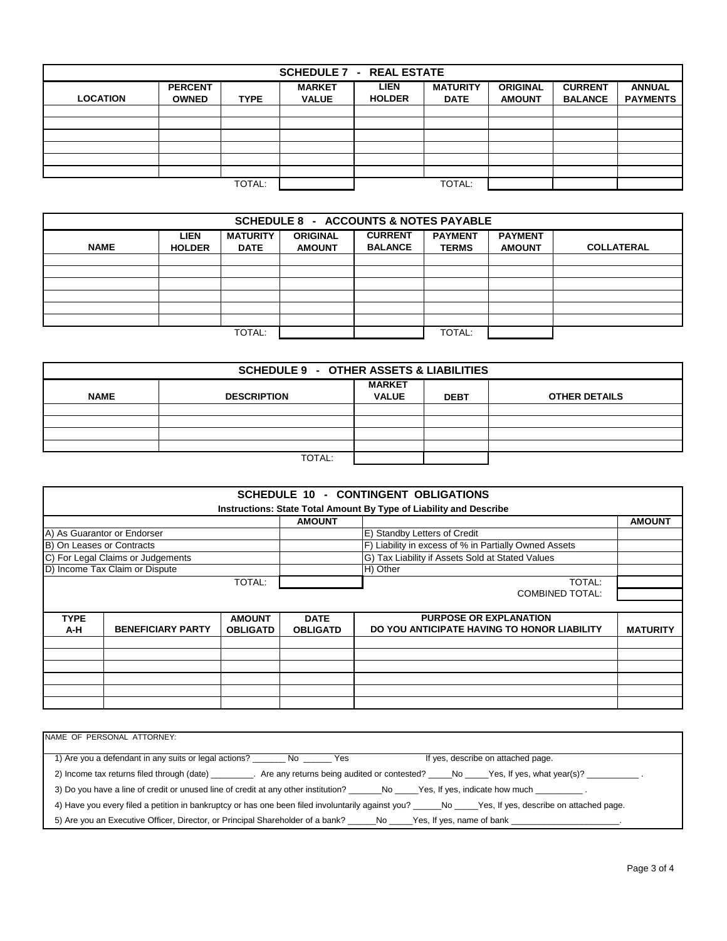| <b>SCHEDULE 7 - REAL ESTATE</b> |                |             |               |               |                 |                 |                |                 |  |
|---------------------------------|----------------|-------------|---------------|---------------|-----------------|-----------------|----------------|-----------------|--|
|                                 | <b>PERCENT</b> |             | <b>MARKET</b> | <b>LIEN</b>   | <b>MATURITY</b> | <b>ORIGINAL</b> | <b>CURRENT</b> | <b>ANNUAL</b>   |  |
| <b>LOCATION</b>                 | <b>OWNED</b>   | <b>TYPE</b> | <b>VALUE</b>  | <b>HOLDER</b> | <b>DATE</b>     | <b>AMOUNT</b>   | <b>BALANCE</b> | <b>PAYMENTS</b> |  |
|                                 |                |             |               |               |                 |                 |                |                 |  |
|                                 |                |             |               |               |                 |                 |                |                 |  |
|                                 |                |             |               |               |                 |                 |                |                 |  |
|                                 |                |             |               |               |                 |                 |                |                 |  |
|                                 |                |             |               |               |                 |                 |                |                 |  |
|                                 |                |             |               |               |                 |                 |                |                 |  |
|                                 |                | TOTAL:      |               |               | TOTAL:          |                 |                |                 |  |

| <b>SCHEDULE 8 - ACCOUNTS &amp; NOTES PAYABLE</b>                                                                                                                                                                                                |  |        |  |  |        |  |  |  |
|-------------------------------------------------------------------------------------------------------------------------------------------------------------------------------------------------------------------------------------------------|--|--------|--|--|--------|--|--|--|
| <b>CURRENT</b><br><b>PAYMENT</b><br><b>MATURITY</b><br><b>PAYMENT</b><br><b>LIEN</b><br><b>ORIGINAL</b><br><b>NAME</b><br><b>COLLATERAL</b><br><b>BALANCE</b><br><b>TERMS</b><br><b>DATE</b><br><b>AMOUNT</b><br><b>AMOUNT</b><br><b>HOLDER</b> |  |        |  |  |        |  |  |  |
|                                                                                                                                                                                                                                                 |  |        |  |  |        |  |  |  |
|                                                                                                                                                                                                                                                 |  |        |  |  |        |  |  |  |
|                                                                                                                                                                                                                                                 |  |        |  |  |        |  |  |  |
|                                                                                                                                                                                                                                                 |  |        |  |  |        |  |  |  |
|                                                                                                                                                                                                                                                 |  |        |  |  |        |  |  |  |
|                                                                                                                                                                                                                                                 |  |        |  |  |        |  |  |  |
|                                                                                                                                                                                                                                                 |  | TOTAL: |  |  | TOTAL: |  |  |  |

| <b>SCHEDULE 9 - OTHER ASSETS &amp; LIABILITIES</b> |                    |               |             |                      |  |  |  |  |
|----------------------------------------------------|--------------------|---------------|-------------|----------------------|--|--|--|--|
|                                                    |                    | <b>MARKET</b> |             |                      |  |  |  |  |
| <b>NAME</b>                                        | <b>DESCRIPTION</b> | <b>VALUE</b>  | <b>DEBT</b> | <b>OTHER DETAILS</b> |  |  |  |  |
|                                                    |                    |               |             |                      |  |  |  |  |
|                                                    |                    |               |             |                      |  |  |  |  |
|                                                    |                    |               |             |                      |  |  |  |  |
|                                                    |                    |               |             |                      |  |  |  |  |
|                                                    | TOTAL:             |               |             |                      |  |  |  |  |

|                                   |                          |                 |                                                       | <b>SCHEDULE 10 - CONTINGENT OBLIGATIONS</b>                        |                 |
|-----------------------------------|--------------------------|-----------------|-------------------------------------------------------|--------------------------------------------------------------------|-----------------|
|                                   |                          |                 |                                                       | Instructions: State Total Amount By Type of Liability and Describe |                 |
|                                   |                          |                 | <b>AMOUNT</b>                                         |                                                                    | <b>AMOUNT</b>   |
| A) As Guarantor or Endorser       |                          |                 | E) Standby Letters of Credit                          |                                                                    |                 |
| B) On Leases or Contracts         |                          |                 | F) Liability in excess of % in Partially Owned Assets |                                                                    |                 |
| C) For Legal Claims or Judgements |                          |                 | G) Tax Liability if Assets Sold at Stated Values      |                                                                    |                 |
| D) Income Tax Claim or Dispute    |                          |                 | H) Other                                              |                                                                    |                 |
| TOTAL:                            |                          |                 | TOTAL:                                                |                                                                    |                 |
|                                   |                          |                 |                                                       | <b>COMBINED TOTAL:</b>                                             |                 |
|                                   |                          |                 |                                                       |                                                                    |                 |
| <b>TYPE</b>                       |                          | <b>AMOUNT</b>   | <b>DATE</b>                                           | <b>PURPOSE OR EXPLANATION</b>                                      |                 |
| A-H                               | <b>BENEFICIARY PARTY</b> | <b>OBLIGATD</b> | <b>OBLIGATD</b>                                       | DO YOU ANTICIPATE HAVING TO HONOR LIABILITY                        | <b>MATURITY</b> |
|                                   |                          |                 |                                                       |                                                                    |                 |
|                                   |                          |                 |                                                       |                                                                    |                 |
|                                   |                          |                 |                                                       |                                                                    |                 |
|                                   |                          |                 |                                                       |                                                                    |                 |
|                                   |                          |                 |                                                       |                                                                    |                 |
|                                   |                          |                 |                                                       |                                                                    |                 |
|                                   |                          |                 |                                                       |                                                                    |                 |

| NAME OF PERSONAL ATTORNEY:                                                                                                                                                                                            |
|-----------------------------------------------------------------------------------------------------------------------------------------------------------------------------------------------------------------------|
| 1) Are you a defendant in any suits or legal actions?<br>If yes, describe on attached page.<br>No l<br>a a three areas are the set of the set of the set of the set of the set of the set of the set of the set of th |
| 2) Income tax returns filed through (date) __________. Are any returns being audited or contested? _____No _____Yes, If yes, what year(s)? ____________________                                                       |
| 3) Do you have a line of credit or unused line of credit at any other institution? _______No ____Yes, If yes, indicate how much ___________.                                                                          |
| 4) Have you every filed a petition in bankruptcy or has one been filed involuntarily against you? No Ness, If yes, describe on attached page.                                                                         |
|                                                                                                                                                                                                                       |
|                                                                                                                                                                                                                       |